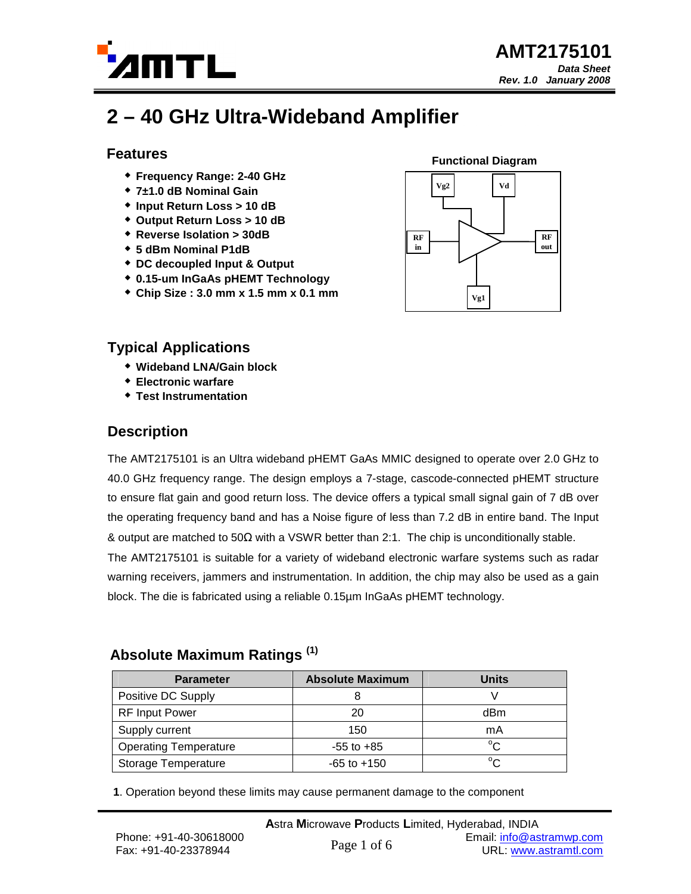

# **2 – 40 GHz Ultra-Wideband Amplifier**

### **Features**

- **Frequency Range: 2-40 GHz**
- **7±1.0 dB Nominal Gain**
- **Input Return Loss > 10 dB**
- **Output Return Loss > 10 dB**
- **Reverse Isolation > 30dB**
- **5 dBm Nominal P1dB**
- **DC decoupled Input & Output**
- **0.15-um InGaAs pHEMT Technology**
- **Chip Size : 3.0 mm x 1.5 mm x 0.1 mm**



## **Typical Applications**

- **Wideband LNA/Gain block**
- **Electronic warfare**
- **Test Instrumentation**

# **Description**

The AMT2175101 is an Ultra wideband pHEMT GaAs MMIC designed to operate over 2.0 GHz to 40.0 GHz frequency range. The design employs a 7-stage, cascode-connected pHEMT structure to ensure flat gain and good return loss. The device offers a typical small signal gain of 7 dB over the operating frequency band and has a Noise figure of less than 7.2 dB in entire band. The Input & output are matched to 50Ω with a VSWR better than 2:1. The chip is unconditionally stable. The AMT2175101 is suitable for a variety of wideband electronic warfare systems such as radar warning receivers, jammers and instrumentation. In addition, the chip may also be used as a gain block. The die is fabricated using a reliable 0.15µm InGaAs pHEMT technology.

## **Absolute Maximum Ratings (1)**

| <b>Parameter</b>             | <b>Absolute Maximum</b> | <b>Units</b> |  |
|------------------------------|-------------------------|--------------|--|
| Positive DC Supply           |                         |              |  |
| <b>RF Input Power</b>        | 20                      | dBm          |  |
| Supply current               | 150                     | mA           |  |
| <b>Operating Temperature</b> | $-55$ to $+85$          | $^{\circ}C$  |  |
| <b>Storage Temperature</b>   | $-65$ to $+150$         | $\sim$       |  |

**1**. Operation beyond these limits may cause permanent damage to the component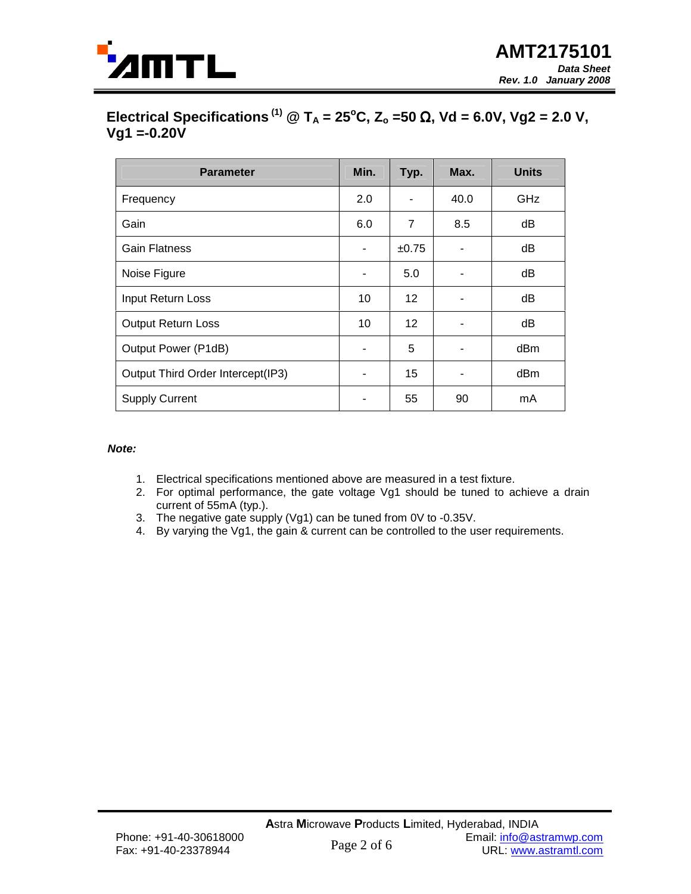

# **Electrical Specifications**<sup>(1)</sup>  $\textcircled{2}$  T<sub>A</sub> = 25°C, Z<sub>o</sub> =50 Ω, Vd = 6.0V, Vg2 = 2.0 V,  $Vg1 = -0.20V$

| <b>Parameter</b>                  | Min. | Typ.           | Max. | <b>Units</b> |
|-----------------------------------|------|----------------|------|--------------|
| Frequency                         | 2.0  |                | 40.0 | <b>GHz</b>   |
| Gain                              | 6.0  | $\overline{7}$ | 8.5  | dB           |
| Gain Flatness                     |      | ±0.75          | ۰    | dB           |
| Noise Figure                      |      | 5.0            |      | dB           |
| Input Return Loss                 | 10   | 12             |      | dB           |
| <b>Output Return Loss</b>         | 10   | 12             |      | dB           |
| Output Power (P1dB)               |      | 5              |      | dBm          |
| Output Third Order Intercept(IP3) |      | 15             |      | dBm          |
| <b>Supply Current</b>             |      | 55             | 90   | mA           |

#### **Note:**

- 1. Electrical specifications mentioned above are measured in a test fixture.
- 2. For optimal performance, the gate voltage Vg1 should be tuned to achieve a drain current of 55mA (typ.).
- 3. The negative gate supply (Vg1) can be tuned from 0V to -0.35V.
- 4. By varying the Vg1, the gain & current can be controlled to the user requirements.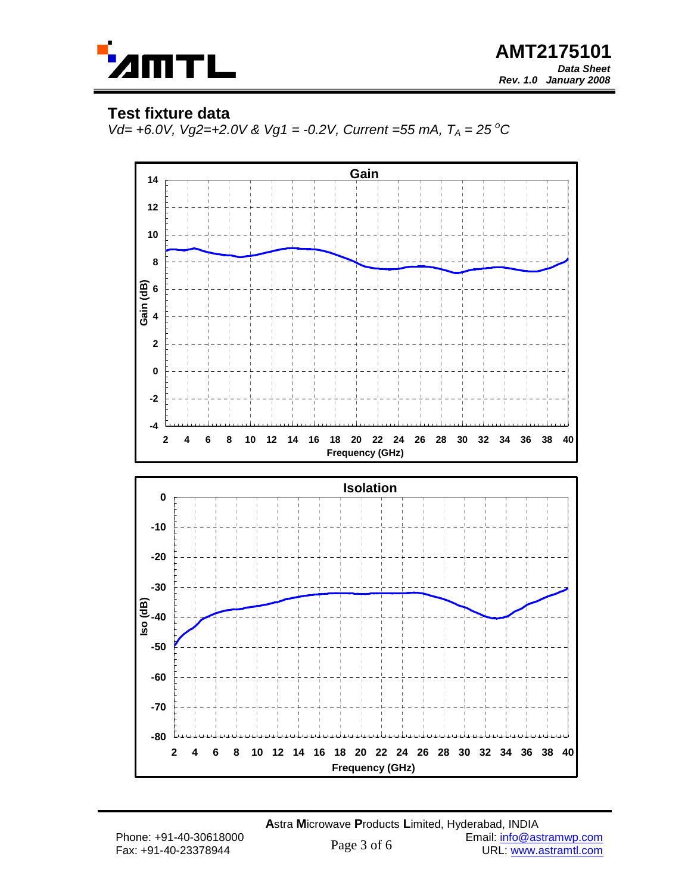

## **Test fixture data**

Vd= +6.0V, Vg2=+2.0V & Vg1 = -0.2V, Current =55 mA,  $T_A = 25\text{ °C}$ 

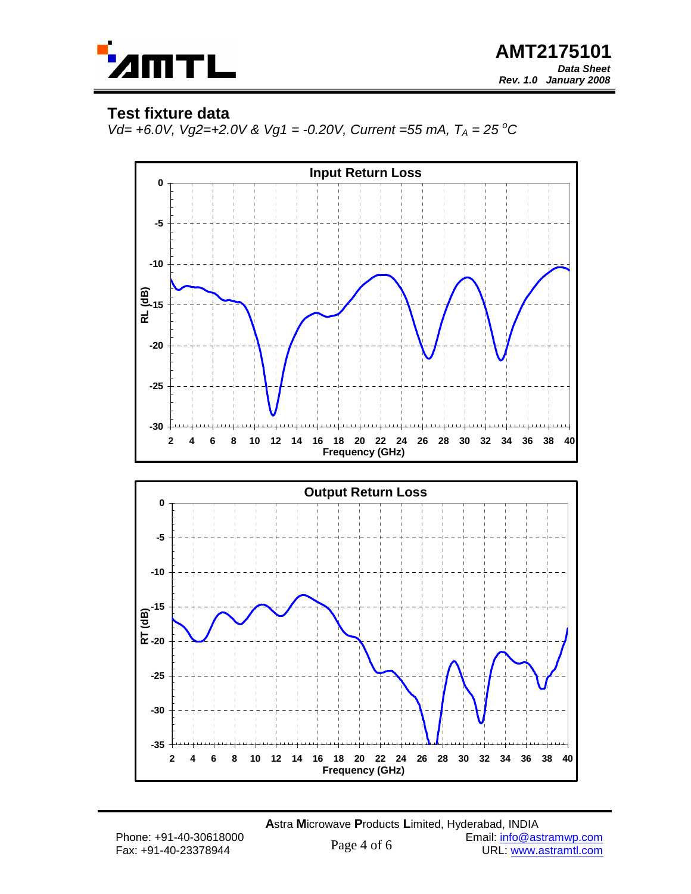

### **Test fixture data**

Vd= +6.0V, Vg2=+2.0V & Vg1 = -0.20V, Current =55 mA,  $T_A = 25\text{ °C}$ 



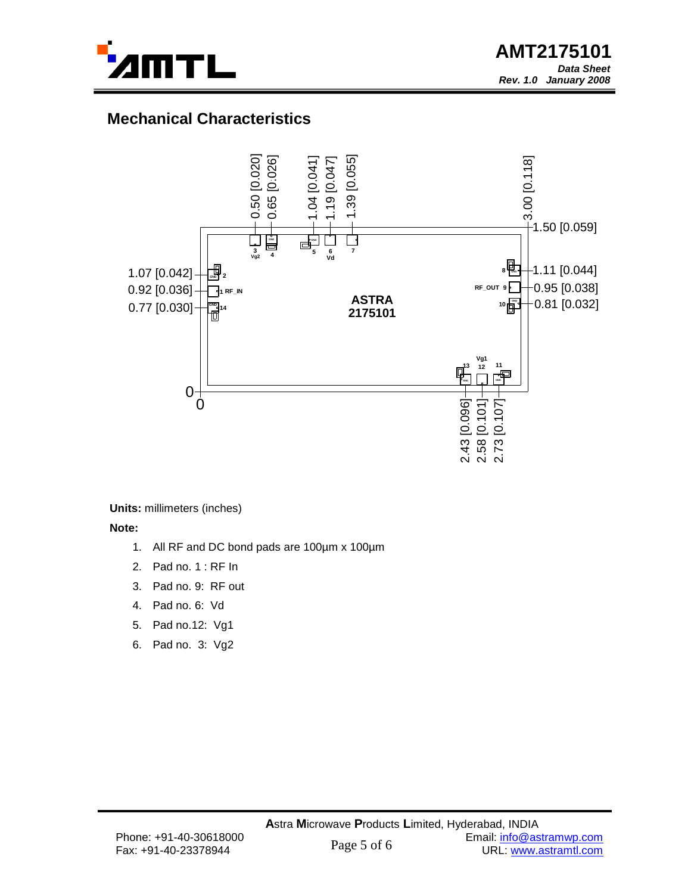

# **Mechanical Characteristics**



**Units:** millimeters (inches)

**Note:**

- 1. All RF and DC bond pads are 100µm x 100µm
- 2. Pad no. 1 : RF In
- 3. Pad no. 9: RF out
- 4. Pad no. 6: Vd
- 5. Pad no.12: Vg1
- 6. Pad no. 3: Vg2